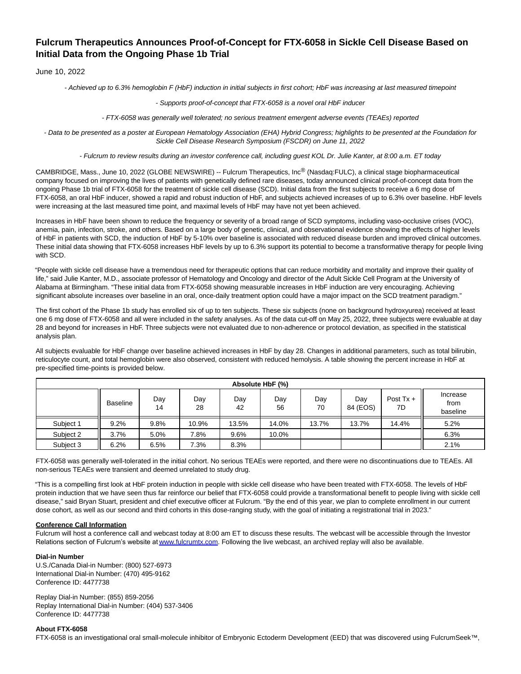# **Fulcrum Therapeutics Announces Proof-of-Concept for FTX-6058 in Sickle Cell Disease Based on Initial Data from the Ongoing Phase 1b Trial**

June 10, 2022

- Achieved up to 6.3% hemoglobin F (HbF) induction in initial subjects in first cohort; HbF was increasing at last measured timepoint

#### - Supports proof-of-concept that FTX-6058 is a novel oral HbF inducer

- FTX-6058 was generally well tolerated; no serious treatment emergent adverse events (TEAEs) reported

- Data to be presented as a poster at European Hematology Association (EHA) Hybrid Congress; highlights to be presented at the Foundation for Sickle Cell Disease Research Symposium (FSCDR) on June 11, 2022

- Fulcrum to review results during an investor conference call, including guest KOL Dr. Julie Kanter, at 8:00 a.m. ET today

CAMBRIDGE, Mass., June 10, 2022 (GLOBE NEWSWIRE) -- Fulcrum Therapeutics, Inc® (Nasdaq:FULC), a clinical stage biopharmaceutical company focused on improving the lives of patients with genetically defined rare diseases, today announced clinical proof-of-concept data from the ongoing Phase 1b trial of FTX-6058 for the treatment of sickle cell disease (SCD). Initial data from the first subjects to receive a 6 mg dose of FTX-6058, an oral HbF inducer, showed a rapid and robust induction of HbF, and subjects achieved increases of up to 6.3% over baseline. HbF levels were increasing at the last measured time point, and maximal levels of HbF may have not yet been achieved.

Increases in HbF have been shown to reduce the frequency or severity of a broad range of SCD symptoms, including vaso-occlusive crises (VOC), anemia, pain, infection, stroke, and others. Based on a large body of genetic, clinical, and observational evidence showing the effects of higher levels of HbF in patients with SCD, the induction of HbF by 5-10% over baseline is associated with reduced disease burden and improved clinical outcomes. These initial data showing that FTX-6058 increases HbF levels by up to 6.3% support its potential to become a transformative therapy for people living with SCD.

"People with sickle cell disease have a tremendous need for therapeutic options that can reduce morbidity and mortality and improve their quality of life," said Julie Kanter, M.D., associate professor of Hematology and Oncology and director of the Adult Sickle Cell Program at the University of Alabama at Birmingham. "These initial data from FTX-6058 showing measurable increases in HbF induction are very encouraging. Achieving significant absolute increases over baseline in an oral, once-daily treatment option could have a major impact on the SCD treatment paradigm."

The first cohort of the Phase 1b study has enrolled six of up to ten subjects. These six subjects (none on background hydroxyurea) received at least one 6 mg dose of FTX-6058 and all were included in the safety analyses. As of the data cut-off on May 25, 2022, three subjects were evaluable at day 28 and beyond for increases in HbF. Three subjects were not evaluated due to non-adherence or protocol deviation, as specified in the statistical analysis plan.

All subjects evaluable for HbF change over baseline achieved increases in HbF by day 28. Changes in additional parameters, such as total bilirubin, reticulocyte count, and total hemoglobin were also observed, consistent with reduced hemolysis. A table showing the percent increase in HbF at pre-specified time-points is provided below.

| Absolute HbF (%) |                 |           |           |           |           |           |                 |                   |                              |
|------------------|-----------------|-----------|-----------|-----------|-----------|-----------|-----------------|-------------------|------------------------------|
|                  | <b>Baseline</b> | Dav<br>14 | Dav<br>28 | Day<br>42 | Day<br>56 | Dav<br>70 | Day<br>84 (EOS) | Post $Tx +$<br>7D | Increase<br>from<br>baseline |
| Subject 1        | 9.2%            | 9.8%      | 10.9%     | 13.5%     | 14.0%     | 13.7%     | 13.7%           | 14.4%             | 5.2%                         |
| Subject 2        | 3.7%            | 5.0%      | 7.8%      | 9.6%      | 10.0%     |           |                 |                   | 6.3%                         |
| Subject 3        | 6.2%            | 6.5%      | 7.3%      | 8.3%      |           |           |                 |                   | 2.1%                         |

FTX-6058 was generally well-tolerated in the initial cohort. No serious TEAEs were reported, and there were no discontinuations due to TEAEs. All non-serious TEAEs were transient and deemed unrelated to study drug.

"This is a compelling first look at HbF protein induction in people with sickle cell disease who have been treated with FTX-6058. The levels of HbF protein induction that we have seen thus far reinforce our belief that FTX-6058 could provide a transformational benefit to people living with sickle cell disease," said Bryan Stuart, president and chief executive officer at Fulcrum. "By the end of this year, we plan to complete enrollment in our current dose cohort, as well as our second and third cohorts in this dose-ranging study, with the goal of initiating a registrational trial in 2023."

## **Conference Call Information**

Fulcrum will host a conference call and webcast today at 8:00 am ET to discuss these results. The webcast will be accessible through the Investor Relations section of Fulcrum's website at [www.fulcrumtx.com.](https://www.globenewswire.com/Tracker?data=il0ouInDXKAa3c6j_oV34gEEsoAgysuVBTkcZj8Ji4PLJeNPBmsvymgtqOf8Y0SpgRzW7fHiNODwMJm3NaFt9Aoy98gwt5YpNIm81iMvgYo=) Following the live webcast, an archived replay will also be available.

## **Dial-in Number**

U.S./Canada Dial-in Number: (800) 527-6973 International Dial-in Number: (470) 495-9162 Conference ID: 4477738

Replay Dial-in Number: (855) 859-2056 Replay International Dial-in Number: (404) 537-3406 Conference ID: 4477738

## **About FTX-6058**

FTX-6058 is an investigational oral small-molecule inhibitor of Embryonic Ectoderm Development (EED) that was discovered using FulcrumSeek™,